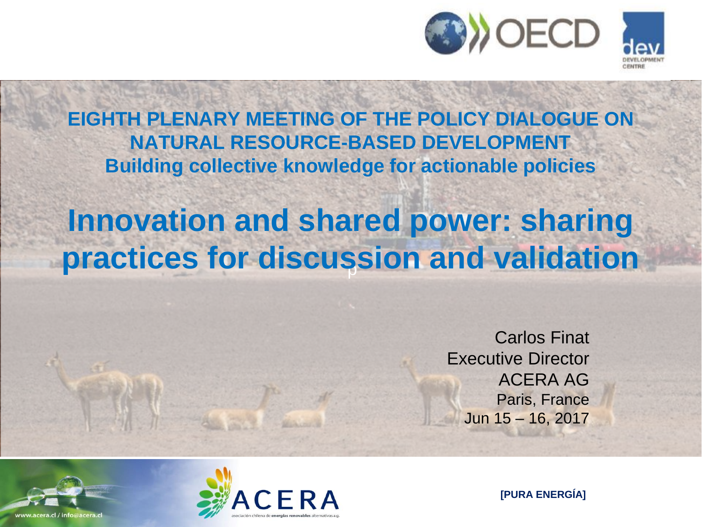

**EIGHTH PLENARY MEETING OF THE POLICY DIALOGUE ON NATURAL RESOURCE-BASED DEVELOPMENT Building collective knowledge for actionable policies**

# p **practices for discussion and validationInnovation and shared power: sharing**

Carlos Finat Executive Director ACERA AG Paris, France Jun 15 – 16, 2017



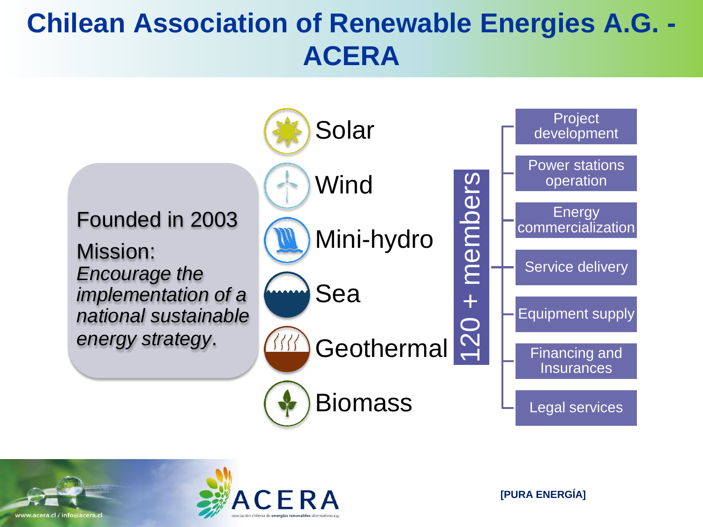## **Chilean Association of Renewable Energies A.G. - ACERA**





www.acera.cl / info@acera.cl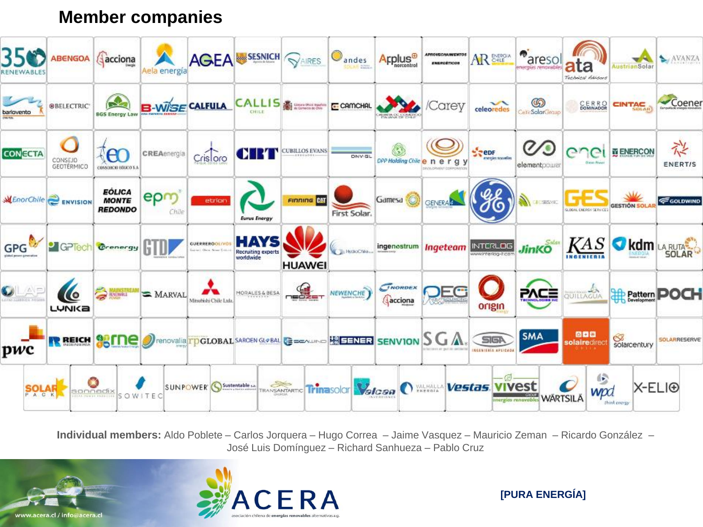#### **Member companies**



**Individual members:** Aldo Poblete – Carlos Jorquera – Hugo Correa – Jaime Vasquez – Mauricio Zeman – Ricardo González – José Luis Domínguez – Richard Sanhueza – Pablo Cruz

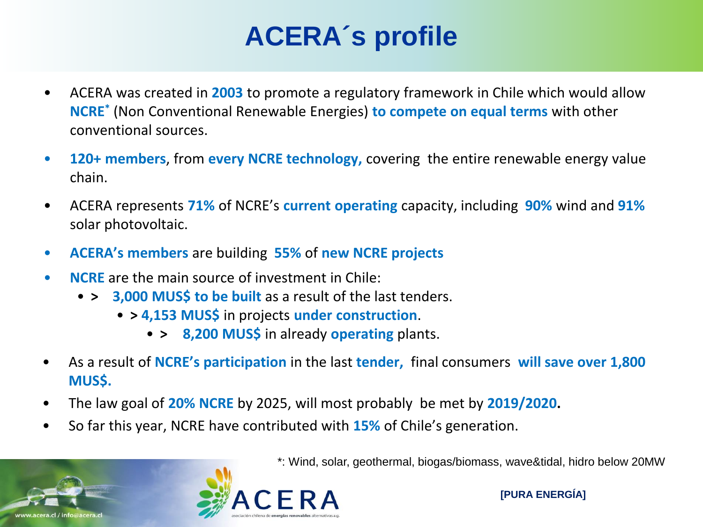## **ACERA´s profile**

- ACERA was created in **2003** to promote a regulatory framework in Chile which would allow **NCRE\*** (Non Conventional Renewable Energies) **to compete on equal terms** with other conventional sources.
- **120+ members**, from **every NCRE technology,** covering the entire renewable energy value chain.
- ACERA represents **71%** of NCRE's **current operating** capacity, including **90%** wind and **91%**  solar photovoltaic.
- **ACERA's members** are building **55%** of **new NCRE projects**
- **NCRE** are the main source of investment in Chile:
	- **> 3,000 MUS\$ to be built** as a result of the last tenders.
		- **> 4,153 MUS\$** in projects **under construction**.
			- **> 8,200 MUS\$** in already **operating** plants.
- As a result of **NCRE's participation** in the last **tender,** final consumers **will save over 1,800 MUS\$.**
- The law goal of **20% NCRE** by 2025, will most probably be met by **2019/2020.**
- So far this year, NCRE have contributed with **15%** of Chile's generation.

\*: Wind, solar, geothermal, biogas/biomass, wave&tidal, hidro below 20MW



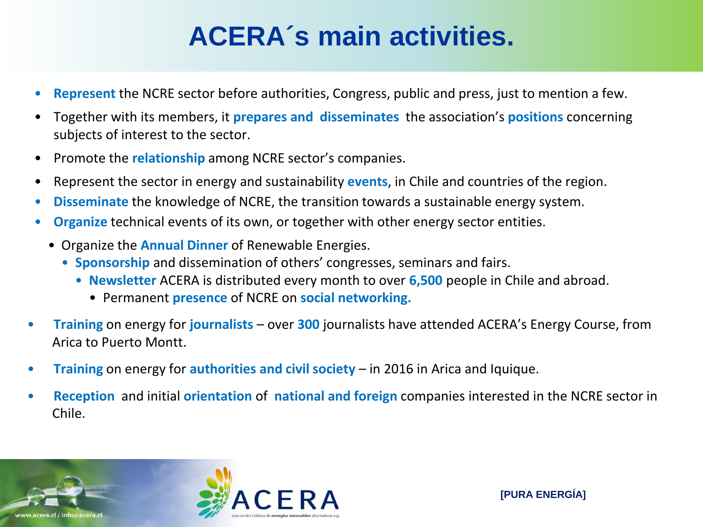### **ACERA´s main activities.**

- **Represent** the NCRE sector before authorities, Congress, public and press, just to mention a few.
- Together with its members, it **prepares and disseminates** the association's **positions** concerning subjects of interest to the sector.
- Promote the **relationship** among NCRE sector's companies.
- Represent the sector in energy and sustainability **events**, in Chile and countries of the region.
- **Disseminate** the knowledge of NCRE, the transition towards a sustainable energy system.
- **Organize** technical events of its own, or together with other energy sector entities.
	- Organize the **Annual Dinner** of Renewable Energies.
		- **Sponsorship** and dissemination of others' congresses, seminars and fairs.
			- **Newsletter** ACERA is distributed every month to over **6,500** people in Chile and abroad.
				- Permanent **presence** of NCRE on **social networking.**
- **Training** on energy for **journalists** over **300** journalists have attended ACERA's Energy Course, from Arica to Puerto Montt.
- **Training** on energy for **authorities and civil society** in 2016 in Arica and Iquique.
- **Reception** and initial **orientation** of **national and foreign** companies interested in the NCRE sector in Chile.

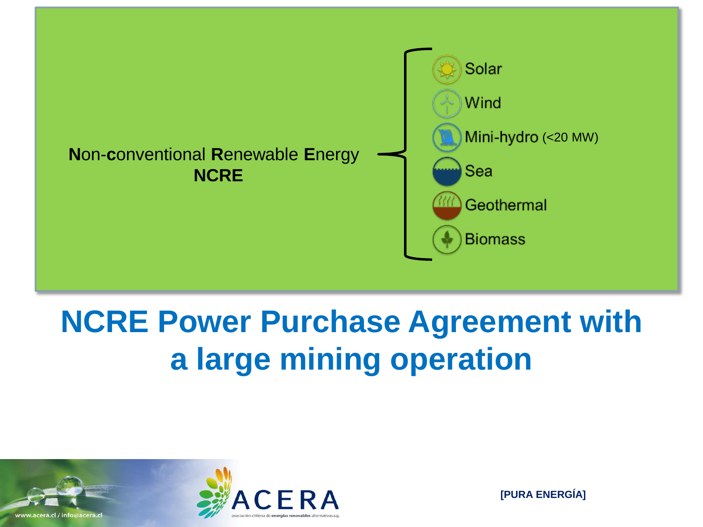

# **NCRE Power Purchase Agreement with a large mining operation**

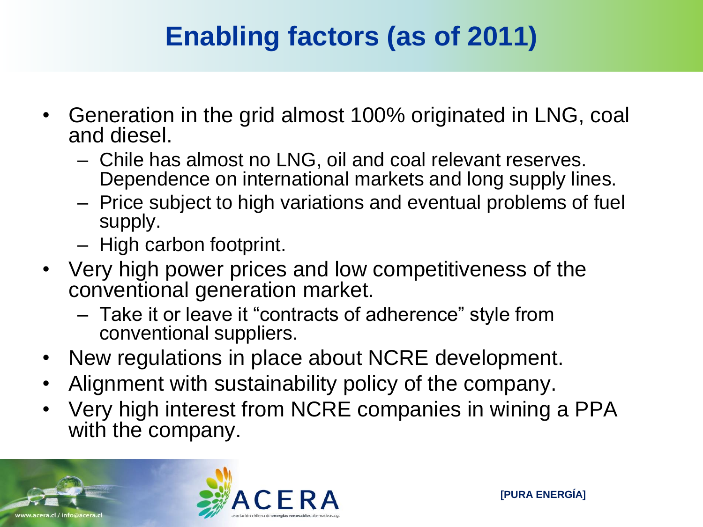## **Enabling factors (as of 2011)**

- Generation in the grid almost 100% originated in LNG, coal and diesel.
	- Chile has almost no LNG, oil and coal relevant reserves. Dependence on international markets and long supply lines.
	- Price subject to high variations and eventual problems of fuel supply.
	- High carbon footprint.
- Very high power prices and low competitiveness of the conventional generation market.
	- Take it or leave it "contracts of adherence" style from conventional suppliers.
- New regulations in place about NCRE development.
- Alignment with sustainability policy of the company.
- Very high interest from NCRE companies in wining a PPA with the company.

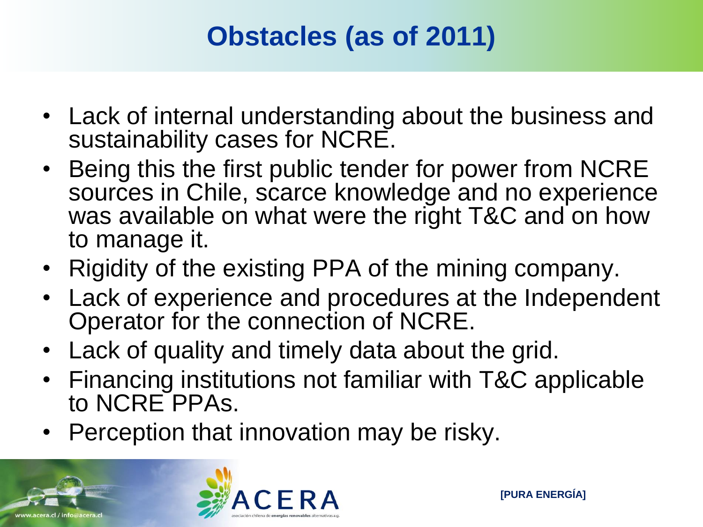## **Obstacles (as of 2011)**

- Lack of internal understanding about the business and sustainability cases for NCRE.
- Being this the first public tender for power from NCRE sources in Chile, scarce knowledge and no experience was available on what were the right T&C and on how to manage it.
- Rigidity of the existing PPA of the mining company.
- Lack of experience and procedures at the Independent Operator for the connection of NCRE.
- Lack of quality and timely data about the grid.
- Financing institutions not familiar with T&C applicable to NCRE PPAs.
- Perception that innovation may be risky.

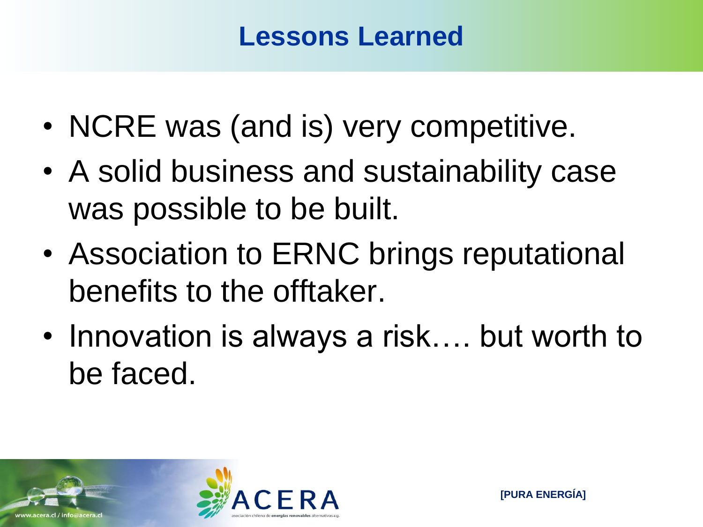#### **Lessons Learned**

- NCRE was (and is) very competitive.
- A solid business and sustainability case was possible to be built.
- Association to ERNC brings reputational benefits to the offtaker.
- Innovation is always a risk…. but worth to be faced.

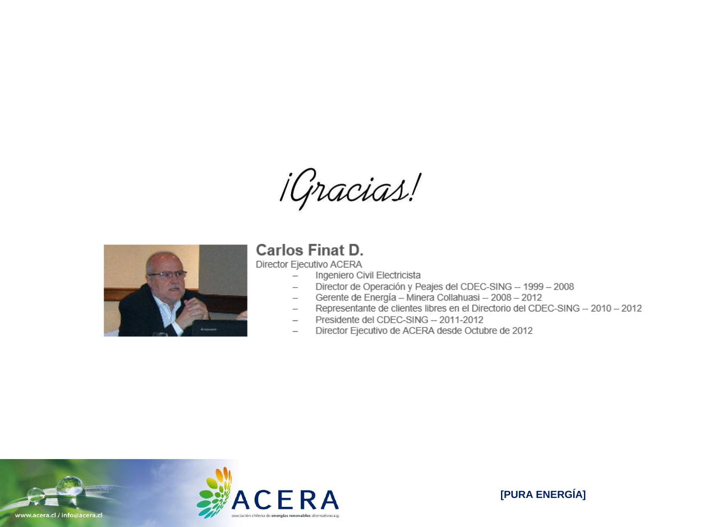*¡Gracias!* 



#### **Carlos Finat D.**

Director Ejecutivo ACERA

- Ingeniero Civil Electricista  $\overline{\phantom{0}}$
- Director de Operación y Peajes del CDEC-SING -- 1999 2008  $\overline{\phantom{0}}$
- Gerente de Energía Minera Collahuasi -- 2008 2012  $\overline{\phantom{0}}$
- Representante de clientes libres en el Directorio del CDEC-SING -- 2010 2012  $\overline{\phantom{0}}$
- Presidente del CDEC-SING -- 2011-2012
- Director Ejecutivo de ACERA desde Octubre de 2012  $\overline{\phantom{0}}$